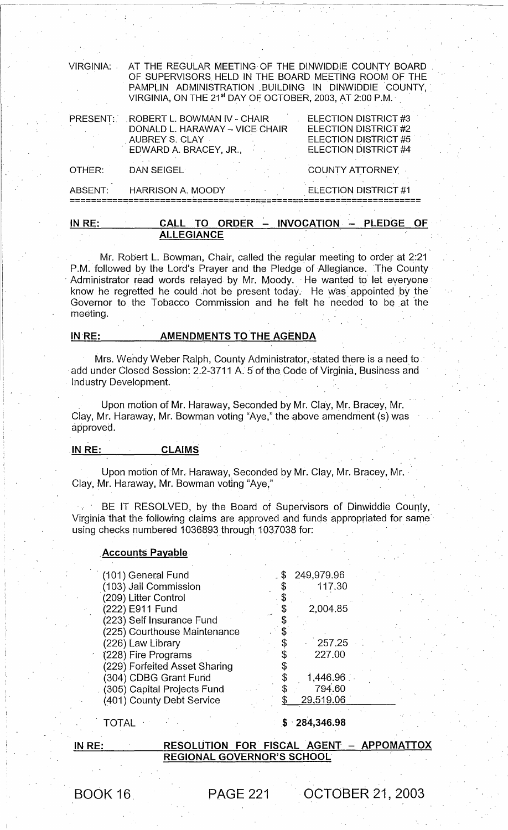| <b>VIRGINIA:</b> | AT THE REGULAR MEETING OF THE DINWIDDIE COUNTY BOARD<br>OF SUPERVISORS HELD IN THE BOARD MEETING ROOM OF THE<br>PAMPLIN ADMINISTRATION BUILDING IN DINWIDDIE COUNTY,<br>VIRGINIA, ON THE 21 <sup>st</sup> DAY OF OCTOBER, 2003, AT 2:00 P.M. |                                                                                              |  |  |
|------------------|----------------------------------------------------------------------------------------------------------------------------------------------------------------------------------------------------------------------------------------------|----------------------------------------------------------------------------------------------|--|--|
| PRESENT:         | ROBERT L. BOWMAN IV - CHAIR<br>DONALD L. HARAWAY - VICE CHAIR<br>AUBREY S. CLAY<br>EDWARD A. BRACEY, JR.,                                                                                                                                    | ELECTION DISTRICT #3<br>ELECTION DISTRICT #2<br>ELECTION DISTRICT #5<br>ELECTION DISTRICT #4 |  |  |
| OTHER:           | DAN SEIGEL                                                                                                                                                                                                                                   | <b>COUNTY ATTORNEY</b>                                                                       |  |  |
| ABSENT:          | <b>HARRISON A. MOODY</b>                                                                                                                                                                                                                     | ELECTION DISTRICT #1                                                                         |  |  |
|                  |                                                                                                                                                                                                                                              |                                                                                              |  |  |

| IN RE: | CALL TO ORDER - INVOCATION - PLEDGE |  |  |
|--------|-------------------------------------|--|--|
|        | <b>ALLEGIANCE</b>                   |  |  |

Mr. Robert L. Bowman, Chair, called the regular meeting to order at 2:21 P.M. followed by the Lord's Prayer and the Pledge of Allegiance. The County Administrator read words relayed by Mr. Moody. He wanted to let everyone know he regretted he could not be present today. He was appointed by the Governor to the Tobacco Commission and he felt he needed to be at the 'meeting.

## IN RE: AMENDMENTS TO THE AGENDA

Mrs. Wendy Weber Ralph, County Administrator, stated there is a need to add under Closed Session: 2.2-3711 A. 5 of the Code of Virginia, Business and Industry Development.

Upon motion of Mr. Haraway, Seconded by Mr. Clay, Mr. Bracey, Mr. Clay, Mr. Haraway, Mr. Bowman voting "Aye," the above amendment (s) was approved.

#### .IN RE: CLAIMS

Upon motion of Mr. Haraway, Seconded by Mr. Clay, Mr. Bracey, Mr. Clay, Mr. Haraway, Mr. Bowman voting "Aye,"

BE IT RESOLVED, by the Board of Supervisors of Dinwiddie County, Virginia that the following claims are approved and funds appropriated for same' using checks numbered 1036893 through 1037038 for:

#### **Accounts Payable**

| (101) General Fund            | 249,979.96 |
|-------------------------------|------------|
| (103) Jail Commission         | 117.30     |
| (209) Litter Control          |            |
| (222) E911 Fund               | 2,004.85   |
| (223) Self Insurance Fund     |            |
| (225) Courthouse Maintenance  |            |
| (226) Law Library             | 257.25     |
| (228) Fire Programs           | 227.00     |
| (229) Forfeited Asset Sharing |            |
| (304) CDBG Grant Fund         | 1,446.96   |
| (305) Capital Projects Fund   | 794.60     |
| (401) County Debt Service     | 29,519.06  |
|                               |            |

### TOTAL

# \$ -284,346.98

#### IN,RE:

RESOLUTION FOR FISCAL AGENT APPOMATTOX REGIONAL GOVERNOR'S SCHOOL

BOOK 16 PAGE 221 OCTOBER 21, 2003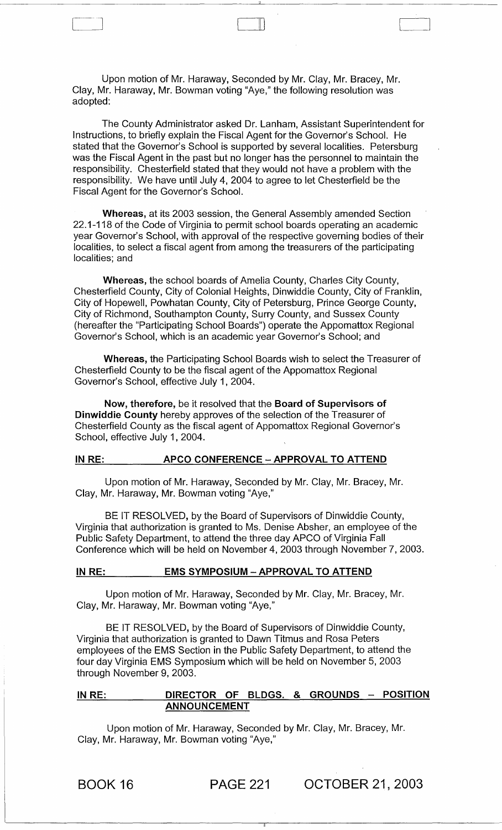Upon motion of Mr. Haraway, Seconded by Mr. Clay, Mr. Bracey, Mr. Clay, Mr. Haraway, Mr. Bowman voting "Aye," the following resolution was adopted:

III

The County Administrator asked Dr. Lanham, Assistant Superintendent for Instructions, to briefly explain the Fiscal Agent for the Governor's School. He stated that the Governor's School is supported by several localities. Petersburg was the Fiscal Agent in the past but no longer has the personnel to maintain the responsibility. Chesterfield stated that they would not have a problem with the responsibility. We have until July 4, 2004 to agree to let Chesterfield be the Fiscal Agent for the Governor's School.

Whereas, at its 2003 session, the General Assembly amended Section 22.1-118 of the Code of Virginia to permit school boards operating an academic year Governor's School, with approval of the respective governing bodies of their localities, to select a fiscal agent from among the treasurers of the participating localities; and

Whereas, the school boards of Amelia County, Charles City County, Chesterfield County, City of Colonial Heights, Dinwiddie County, City of Franklin, City of Hopewell, Powhatan County, City of Petersburg, Prince George County, City of Richmond, Southampton County, Surry County, and Sussex County (hereafter the "Participating School Boards") operate the Appomattox Regional Governor's School, which is an academic year Governor's School; and

Whereas, the Participating School Boards wish to select the Treasurer of Chesterfield County to be the fiscal agent of the Appomattox Regional Governor's School, effective July 1, 2004.

Now, therefore, be it resolved that the Board of Supervisors of Dinwiddie County hereby approves of the selection of the Treasurer of Chesterfield County as the fiscal agent of Appomattox Regional Governor's School, effective July 1, 2004.

#### IN RE: APCO CONFERENCE - APPROVAL TO ATTEND

Upon motion of Mr. Haraway, Seconded by Mr. Clay, Mr. Bracey, Mr. Clay, Mr. Haraway, Mr. Bowman voting "Aye,"

BE IT RESOLVED, by the Board of Supervisors of Dinwiddie County, Virginia that authorization is granted to Ms. Denise Absher, an employee of the Public Safety Department, to attend the three day APCO of Virginia Fall Conference which will be held on November 4, 2003 through November 7, 2003.

#### IN RE: EMS SYMPOSIUM - APPROVAL TO ATTEND

Upon motion of Mr. Haraway, Seconded by Mr. Clay, Mr. Bracey, Mr. Clay, Mr. Haraway, Mr. Bowman voting "Aye,"

BE IT RESOLVED, by the Board of Supervisors of Dinwiddie County, Virginia that authorization is granted to Dawn Titmus and Rosa Peters employees of the EMS Section in the Public Safety Department, to attend the four day Virginia EMS Symposium which will be held on November 5, 2003 through November 9, 2003.

## IN RE: DIRECTOR OF BLDGS. & GROUNDS - POSITION ANNOUNCEMENT

Upon motion of Mr. Haraway, Seconded by Mr. Clay, Mr. Bracey, Mr. Clay, Mr. Haraway, Mr. Bowman voting "Aye,"

BOOK 16 PAGE 221 OCTOBER 21,2003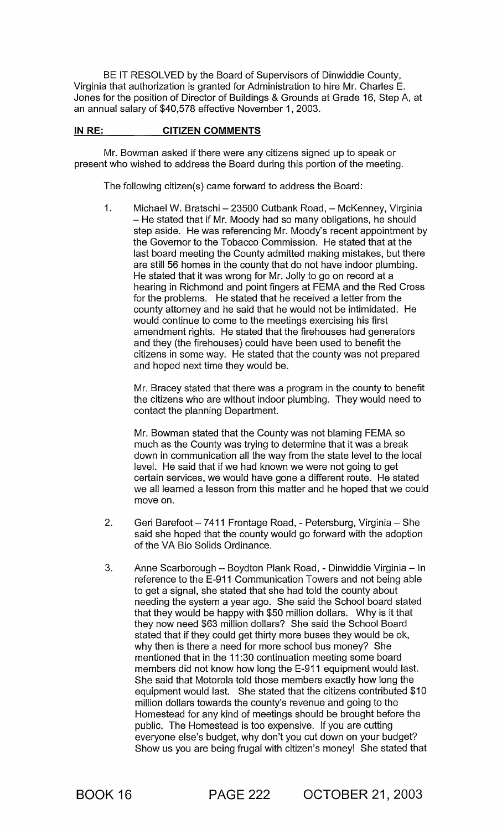BE IT RESOLVED by the Board of Supervisors of Dinwiddie County, Virginia that authorization is granted for Administration to hire Mr. Charles E. Jones for the position of Director of Buildings & Grounds at Grade 16, Step A, at an annual salary of \$40,578 effective November 1,2003.

# IN RE: CITIZEN COMMENTS

Mr. Bowman asked if there were any citizens signed up to speak or present who wished to address the Board during this portion of the meeting.

The following citizen(s) came forward to address the Board:

1. Michael W. Bratschi - 23500 Cutbank Road, - McKenney, Virginia - He stated that if Mr. Moody had so many obligations, he should step aside. He was referencing Mr. Moody's recent appointment by the Governor to the Tobacco Commission. He stated that at the last board meeting the County admitted making mistakes, but there are still 56 homes in the county that do not have indoor plumbing. He stated that it was wrong for Mr. Jolly to go on record at a hearing in Richmond and point fingers at FEMA and the Red Cross for the problems. He stated that he received a letter from the county attorney and he said that he would not be intimidated. He would continue to come to the meetings exercising his first amendment rights. He stated that the firehouses had generators and they (the firehouses) could have been used to benefit the citizens in some way. He stated that the county was not prepared and hoped next time they would be.

Mr. Bracey stated that there was a program in the county to benefit the citizens who are without indoor plumbing. They would need to contact the planning Department.

Mr. Bowman stated that the County was not blaming FEMA so much as the County was trying to determine that it was a break down in communication all the way from the state level to the local level. He said that if we had known we were not going to get certain services, we would have gone a different route. He stated we all learned a lesson from this matter and he hoped that we could move on.

- 2. Geri Barefoot 7411 Frontage Road, Petersburg, Virginia She said she hoped that the county would go forward with the adoption of the VA Bio Solids Ordinance.
- 3. Anne Scarborough Boydton Plank Road, Dinwiddie Virginia In reference to the E-911 Communication Towers and not being able to get a signal, she stated that she had told the county about needing the system a year ago. She said the School board stated that they would be happy with \$50 million dollars. Why is it that they now need \$63 million dollars? She said the School Board stated that if they could get thirty more buses they would be ok, why then is there a need for more school bus money? She mentioned that in the 11 :30 continuation meeting some board members did not know how long the E-911 equipment would last. She said that Motorola told those members exactly how long the equipment would last. She stated that the citizens contributed \$10 million dollars towards the county's revenue and going to the Homestead for any kind of meetings should be brought before the public. The Homestead is too expensive. If you are cutting everyone else's budget, why don't you cut down on your budget? Show us you are being frugal with citizen's money! She stated that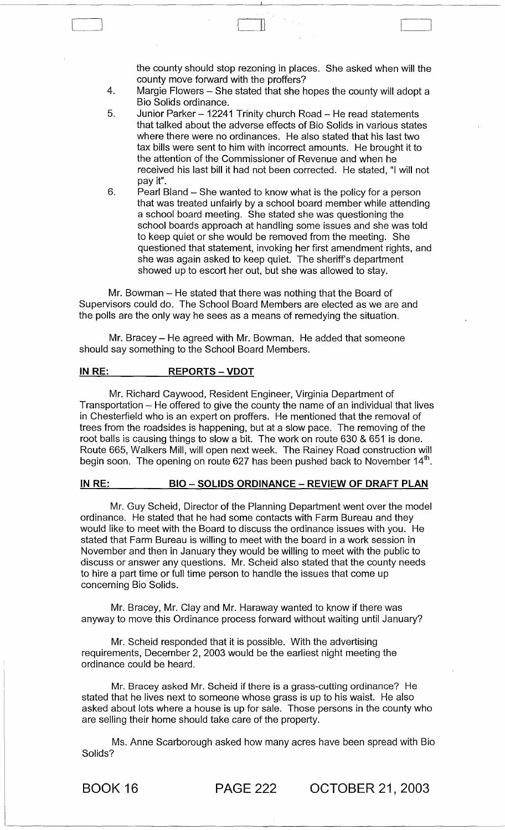the county should stop rezoning in places. She asked when will the county move forward with the proffers?

4. Margie Flowers - She stated that she hopes the county will adopt a Bio Solids ordinance.

 $\mathbb I$ 

- 5. Junior Parker - 12241 Trinity church Road - He read statements that talked about the adverse effects of Bio Solids in various states where there were no ordinances. He also stated that his last two tax bills were sent to him with incorrect amounts. He brought it to the attention of the Commissioner of Revenue and when he received his last bill it had not been corrected. He stated, "I will not pay it".
- 6. Pearl Bland - She wanted to know what is the policy for a person that was treated unfairly by a school board member while attending a school board meeting. She stated she was questioning the school boards approach at handling some issues and she was told to keep quiet or she would be removed from the meeting. She questioned that statement, invoking her first amendment rights, and she was again asked to keep quiet. The sheriff's department showed up to escort her out, but she was allowed to stay.

Mr. Bowman - He stated that there was nothing that the Board of Supervisors could do. The School Board Members are elected as we are and the polls are the only way he sees as a means of remedying the situation.

Mr. Bracey – He agreed with Mr. Bowman. He added that someone should say something to the School Board Members.

#### IN RE: REPORTS - VDOT

[~

Mr. Richard Caywood, Resident Engineer, Virginia Department of Transportation  $-$  He offered to give the county the name of an individual that lives in Chesterfield who is an expert on proffers. He mentioned that the removal of trees from the roadsides is happening, but at a slow pace. The removing of the root balls is causing things to slow a bit. The work on route 630 & 651 is done. Route 665, Walkers Mill, will open next week. The Rainey Road construction will begin soon. The opening on route 627 has been pushed back to November 14<sup>th</sup>.

#### IN RE: BIO - SOLIDS ORDINANCE - REVIEW OF DRAFT PLAN

Mr. Guy Scheid, Director of the Planning Department went over the model ordinance. He stated that he had some contacts with Farm Bureau and they would like to meet with the Board to discuss the ordinance issues with you. He stated that Farm Bureau is willing to meet with the board in a work session in November and then in January they would be willing to meet with the public to discuss or answer any questions. Mr. Scheid also stated that the county needs to hire a part time or full time person to handle the issues that come up concerning Bio Solids.

Mr. Bracey, Mr. Clay and Mr. Haraway wanted to know if there was anyway to move this Ordinance process forward without waiting until January?

Mr. Scheid responded that it is possible. With the advertising requirements, December 2, 2003 would be the earliest night meeting the ordinance could be heard.

Mr. Bracey asked Mr. Scheid if there is a grass-cutting ordinance? He stated that he lives next to someone whose grass is up to his waist. He also asked about lots where a house is up for sale. Those persons in the county who are selling their home should take care of the property.

Ms. Anne Scarborough asked how many acres have been spread with Bio Solids?

BOOK 16 PAGE 222 OCTOBER 21, 2003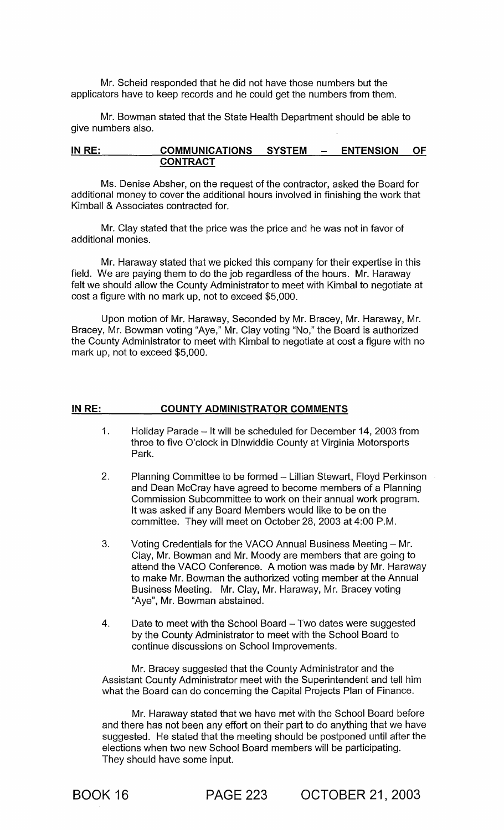Mr. Scheid responded that he did not have those numbers but the applicators have to keep records and he could get the numbers from them.

Mr. Bowman stated that the State Health Department should be able to give numbers also.

### IN RE: COMMUNICATIONS SYSTEM - ENTENSION OF **CONTRACT**

Ms. Denise Absher, on the request of the contractor, asked the Board for additional money to cover the additional hours involved in finishing the work that Kimball & Associates contracted for.

Mr. Clay stated that the price was the price and he was not in favor of additional monies.

Mr. Haraway stated that we picked this company for their expertise in this field. We are paying them to do the job regardless of the hours. Mr. Haraway felt we should allow the County Administrator to meet with Kimbal to negotiate at cost a figure with no mark up, not to exceed \$5,000.

Upon motion of Mr. Haraway, Seconded by Mr. Bracey, Mr. Haraway, Mr. Bracey, Mr. Bowman voting "Aye," Mr. Clay voting "No," the Board is authorized the County Administrator to meet with Kimbal to negotiate at cost a figure with no mark up, not to exceed \$5,000.

#### IN RE: COUNTY ADMINISTRATOR COMMENTS

- 1. Holiday Parade - It will be scheduled for December 14, 2003 from three to five O'clock in Dinwiddie County at Virginia Motorsports Park.
- 2. Planning Committee to be formed - Lillian Stewart, Floyd Perkinson and Dean McCray have agreed to become members of a Planning Commission Subcommittee to work on their annual work program. It was asked if any Board Members would like to be on the committee. They will meet on October 28,2003 at 4:00 P.M.
- 3. Voting Credentials for the VACO Annual Business Meeting - Mr. Clay, Mr. Bowman and Mr. Moody are members that are going to attend the VACO Conference. A motion was made by Mr. Haraway to make Mr. Bowman the authorized voting member at the Annual Business Meeting. Mr. Clay, Mr. Haraway, Mr. Bracey voting "Aye", Mr. Bowman abstained.
- 4. Date to meet with the School Board - Two dates were suggested by the County Administrator to meet with the School Board to continue discussions'on School Improvements.

Mr. Bracey suggested that the County Administrator and the Assistant County Administrator meet with the Superintendent and tell him what the Board can do concerning the Capital Projects Plan of Finance.

Mr. Haraway stated that we have met with the School Board before and there has not been any effort on their part to do anything that we have suggested. He stated that the meeting should be postponed until after the elections when two new School Board members will be participating. They should have some input.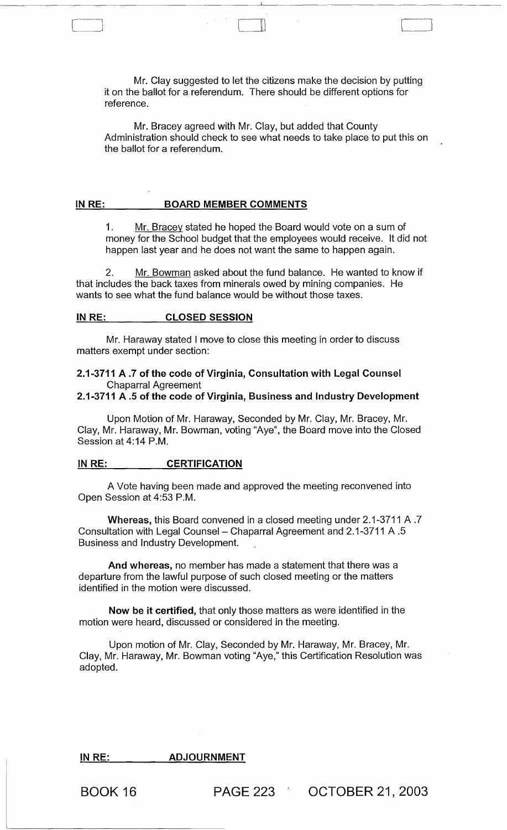Mr. Clay suggested to let the citizens make the decision by putting it on the ballot for a referendum. There should be different options for reference.

Cl

Mr. Bracey agreed with Mr. Clay, but added that County Administration should check to see what needs to take place to put this on the ballot for a referendum.

#### IN RE: BOARD MEMBER COMMENTS

1. Mr. Bracey stated he hoped the Board would vote on a sum of money for the School budget that the employees would receive. It did not happen last year and he does not want the same to happen again.

2. Mr. Bowman asked about the fund balance. He wanted to know if that includes the back taxes from minerals owed by mining companies. He wants to see what the fund balance would be without those taxes.

#### IN RE: CLOSED SESSION

[-]

Mr. Haraway stated I move to close this meeting in order to discuss matters exempt under section:

## 2.1-3711 A.7 of the code of Virginia, Consultation with Legal Counsel Chaparral Agreement

#### 2.1-3711 A .5 of the code of Virginia, Business and Industry Development

Upon Motion of Mr. Haraway, Seconded by Mr. Clay, Mr. Bracey, Mr. Clay, Mr. Haraway, Mr. Bowman, voting "Aye", the Board move into the Closed Session at 4:14 P.M.

#### IN RE: CERTIFICATION

A Vote having been made and approved the meeting reconvened into Open Session at 4:53 P.M.

Whereas, this Board convened in a closed meeting under 2.1-3711 A .7 Consultation with Legal Counsel - Chaparral Agreement and 2.1-3711 A .5 Business and Industry Development.

And whereas, no member has made a statement that there was a departure from the lawful purpose of such closed meeting or the matters identified in the motion were discussed.

Now be it certified, that only those matters as were identified in the motion were heard, discussed or considered in the meeting.

Upon motion of Mr. Clay, Seconded by Mr. Haraway, Mr. Bracey, Mr. Clay, Mr. Haraway, Mr. Bowman voting "Aye," this Certification Resolution was adopted.

### IN RE: \_\_\_\_\_\_\_\_\_ ADJOURNMENT

BOOK 16 **PAGE 223** OCTOBER 21, 2003